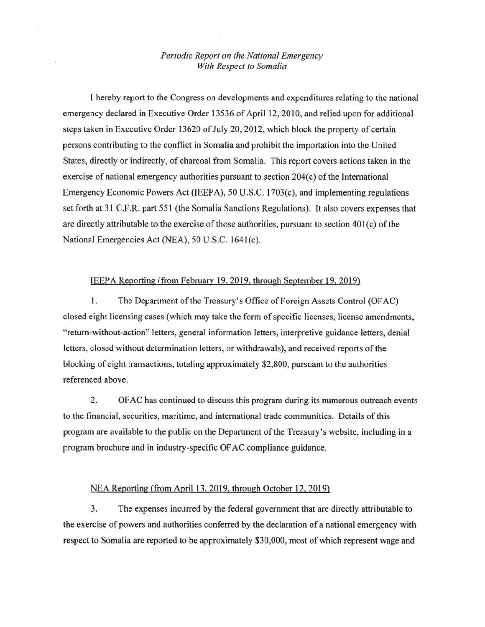## *Periodic Report on the National Emergency With Respect to Somalia*

I hereby report to the Congress on developments and expenditures relating to the national emergency declared in Executive Order 13536 of April 12, 2010, and relied upon for additional steps taken in Executive Order 13620 of July 20, 2012, which block the property of certain persons contributing to the conflict in Somalia and prohibit the importation into the United States, directly or indirectly, of charcoal from Somalia. This report covers actions taken in the exercise of national emergency authorities pursuant to section 204(c) of the International Emergency Economic Powers Act (IEEPA), 50 U.S.C. 1703(c), and implementing regulations set forth at 31 C.F.R. part 551 (the Somalia Sanctions Regulations). It also covers expenses that are directly attributable to the exercise of those authorities, pursuant to section  $401(c)$  of the National Emergencies Act (NEA), 50 U.S.C. 1641(c).

## IEEPA Reporting (from February 19, 2019, through September 19, 2019)

1. The Department of the Treasury's Office of Foreign Assets Control (OF AC) closed eight licensing cases (which may take the form of specific licenses, license amendments, "return-without-action" letters, general information letters, interpretive guidance letters, denial letters, closed without determination letters, or withdrawals), and received reports of the blocking of eight transactions, totaling approximately \$2,800, pursuant to the authorities referenced above.

· 2. OF AC has continued to discuss this program during its numerous outreach events to the financial, securities, maritime, and international trade communities. Details of this program are available to the public on the Department of the Treasury's website, including in a program brochure and in industry-specific OF AC compliance guidance.

## NEA Reporting (from April 13, 2019, through October 12, 2019)

3. The expenses incurred by the federal government that are directly attributable to the exercise of powers and authorities conferred by the declaration of a national emergency with respect to Somalia are reported to be approximately \$30,000, most of which represent wage and